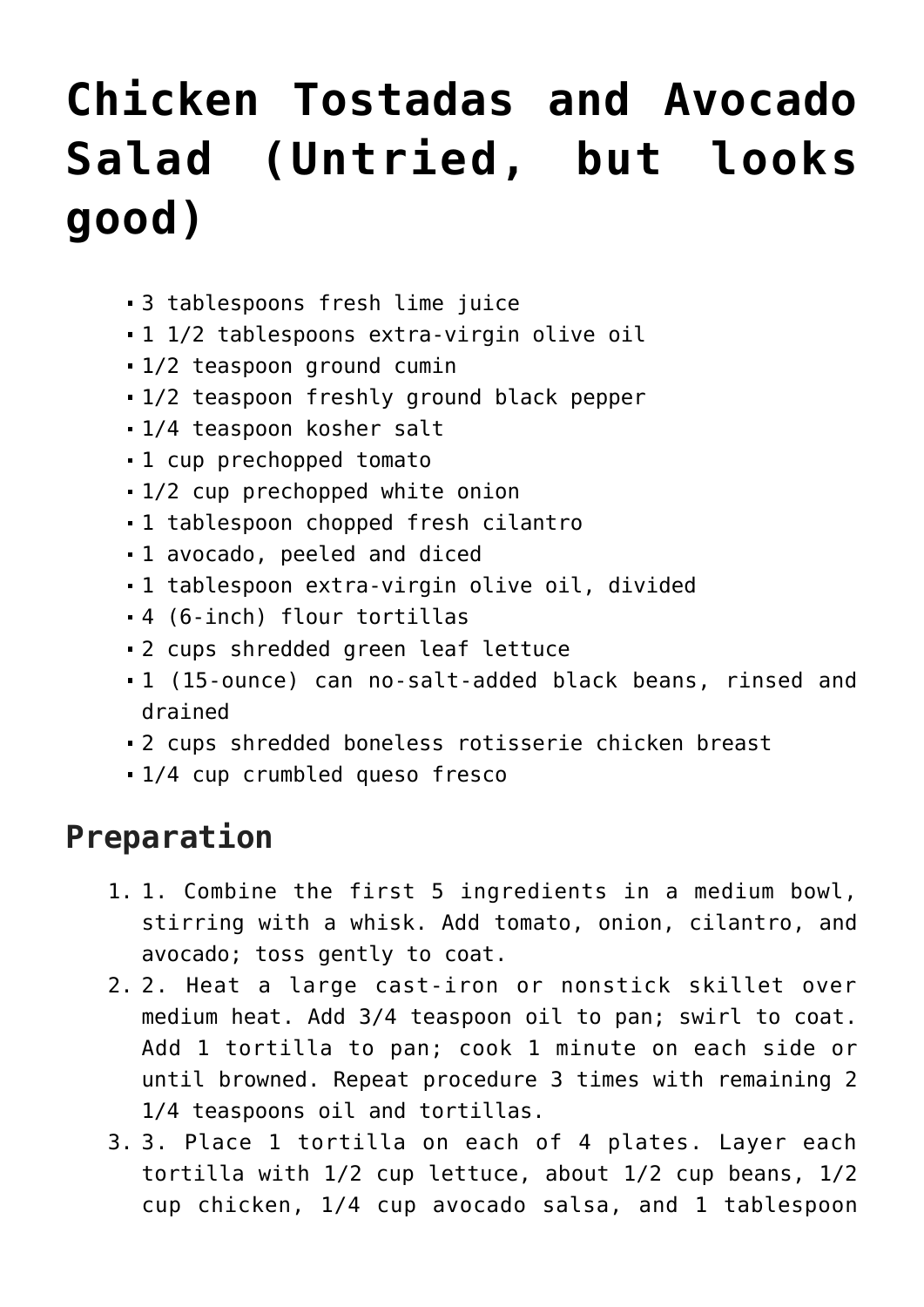## **[Chicken Tostadas and Avocado](https://lincon.com/site/chicken-tostadas-and-avocado-salad-untried-but-looks-good/) [Salad \(Untried, but looks](https://lincon.com/site/chicken-tostadas-and-avocado-salad-untried-but-looks-good/) [good\)](https://lincon.com/site/chicken-tostadas-and-avocado-salad-untried-but-looks-good/)**

- 3 tablespoons fresh lime juice
- 1 1/2 tablespoons extra-virgin olive oil
- 1/2 teaspoon ground cumin
- 1/2 teaspoon freshly ground black pepper
- 1/4 teaspoon kosher salt
- 1 cup prechopped tomato
- 1/2 cup prechopped white onion
- 1 tablespoon chopped fresh cilantro
- 1 avocado, peeled and diced
- 1 tablespoon extra-virgin olive oil, divided
- 4 (6-inch) flour tortillas
- 2 cups shredded green leaf lettuce
- 1 (15-ounce) can no-salt-added black beans, rinsed and drained
- 2 cups shredded boneless rotisserie chicken breast
- 1/4 cup crumbled queso fresco

## **Preparation**

- 1. 1. Combine the first 5 ingredients in a medium bowl, stirring with a whisk. Add tomato, onion, cilantro, and avocado; toss gently to coat.
- 2. 2. Heat a large cast-iron or nonstick skillet over medium heat. Add 3/4 teaspoon oil to pan; swirl to coat. Add 1 tortilla to pan; cook 1 minute on each side or until browned. Repeat procedure 3 times with remaining 2 1/4 teaspoons oil and tortillas.
- 3. 3. Place 1 tortilla on each of 4 plates. Layer each tortilla with 1/2 cup lettuce, about 1/2 cup beans, 1/2 cup chicken, 1/4 cup avocado salsa, and 1 tablespoon